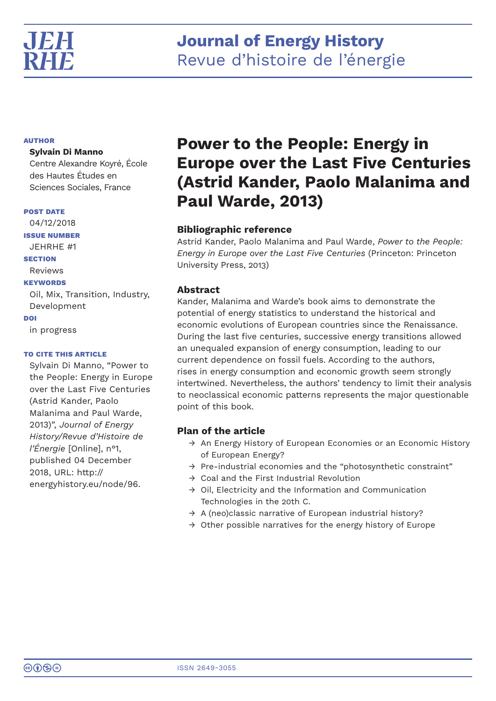# **Journal of Energy History** Revue d'histoire de l'énergie

## **AUTHOR**

## **Sylvain Di Manno**

Centre Alexandre Koyré, École des Hautes Études en Sciences Sociales, France

### **POST DATE**

04/12/2018 **ISSUE NUMBER** JEHRHE #1 **SECTION** Reviews **KEYWORDS** Oil, Mix, Transition, Industry, Development **DOI** in progress

## **TO CITE THIS ARTICLE**

Sylvain Di Manno, "Power to the People: Energy in Europe over the Last Five Centuries (Astrid Kander, Paolo Malanima and Paul Warde, 2013)", *Journal of Energy History/Revue d'Histoire de l'Énergie* [Online], n°1, published 04 December 2018, URL: http:// energyhistory.eu/node/96.

# **Power to the People: Energy in Europe over the Last Five Centuries (Astrid Kander, Paolo Malanima and Paul Warde, 2013)**

# **Bibliographic reference**

Astrid Kander, Paolo Malanima and Paul Warde, *Power to the People: Energy in Europe over the Last Five Centuries* (Princeton: Princeton University Press, 2013)

# **Abstract**

Kander, Malanima and Warde's book aims to demonstrate the potential of energy statistics to understand the historical and economic evolutions of European countries since the Renaissance. During the last five centuries, successive energy transitions allowed an unequaled expansion of energy consumption, leading to our current dependence on fossil fuels. According to the authors, rises in energy consumption and economic growth seem strongly intertwined. Nevertheless, the authors' tendency to limit their analysis to neoclassical economic patterns represents the major questionable point of this book.

# **Plan of the article**

- $\rightarrow$  An Energy History of European Economies or an Economic History of European Energy?
- $\rightarrow$  Pre-industrial economies and the "photosynthetic constraint"
- $\rightarrow$  Coal and the First Industrial Revolution
- $\rightarrow$  Oil, Electricity and the Information and Communication Technologies in the 20th C.
- $\rightarrow$  A (neo)classic narrative of European industrial history?
- $\rightarrow$  Other possible narratives for the energy history of Europe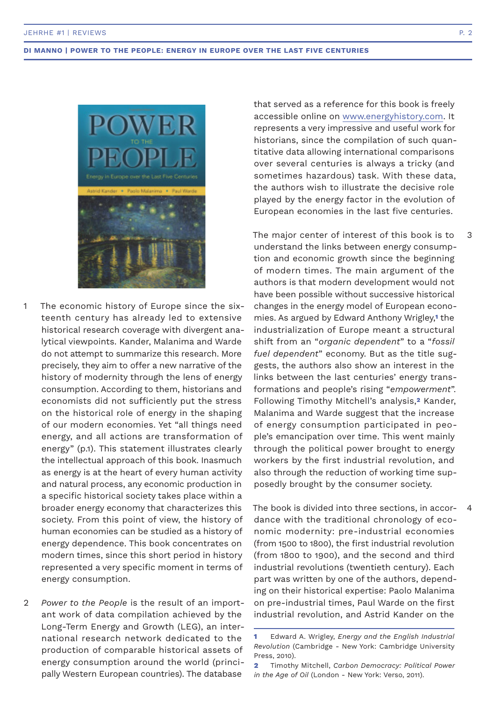

- The economic history of Europe since the sixteenth century has already led to extensive historical research coverage with divergent analytical viewpoints. Kander, Malanima and Warde do not attempt to summarize this research. More precisely, they aim to offer a new narrative of the history of modernity through the lens of energy consumption. According to them, historians and economists did not sufficiently put the stress on the historical role of energy in the shaping of our modern economies. Yet "all things need energy, and all actions are transformation of energy" (p.1). This statement illustrates clearly the intellectual approach of this book. Inasmuch as energy is at the heart of every human activity and natural process, any economic production in a specific historical society takes place within a broader energy economy that characterizes this society. From this point of view, the history of human economies can be studied as a history of energy dependence. This book concentrates on modern times, since this short period in history represented a very specific moment in terms of energy consumption. 1
- *Power to the People* is the result of an important work of data compilation achieved by the Long-Term Energy and Growth (LEG), an international research network dedicated to the production of comparable historical assets of energy consumption around the world (principally Western European countries). The database  $\mathfrak{D}$

that served as a reference for this book is freely accessible online on www.energyhistory.com. It represents a very impressive and useful work for historians, since the compilation of such quantitative data allowing international comparisons over several centuries is always a tricky (and sometimes hazardous) task. With these data, the authors wish to illustrate the decisive role played by the energy factor in the evolution of European economies in the last five centuries.

The major center of interest of this book is to understand the links between energy consumption and economic growth since the beginning of modern times. The main argument of the authors is that modern development would not have been possible without successive historical changes in the energy model of European economies. As argued by Edward Anthony Wrigley,**1** the industrialization of Europe meant a structural shift from an "*organic dependent*" to a "*fossil fuel dependent*" economy. But as the title suggests, the authors also show an interest in the links between the last centuries' energy transformations and people's rising "*empowerment*". Following Timothy Mitchell's analysis,**2** Kander, Malanima and Warde suggest that the increase of energy consumption participated in people's emancipation over time. This went mainly through the political power brought to energy workers by the first industrial revolution, and also through the reduction of working time supposedly brought by the consumer society.

The book is divided into three sections, in accordance with the traditional chronology of economic modernity: pre-industrial economies (from 1500 to 1800), the first industrial revolution (from 1800 to 1900), and the second and third industrial revolutions (twentieth century). Each part was written by one of the authors, depending on their historical expertise: Paolo Malanima on pre-industrial times, Paul Warde on the first industrial revolution, and Astrid Kander on the 4

**2** Timothy Mitchell, *Carbon Democracy: Political Power in the Age of Oil* (London - New York: Verso, 2011).

3

**<sup>1</sup>** Edward A. Wrigley, *Energy and the English Industrial Revolution* (Cambridge - New York: Cambridge University Press, 2010).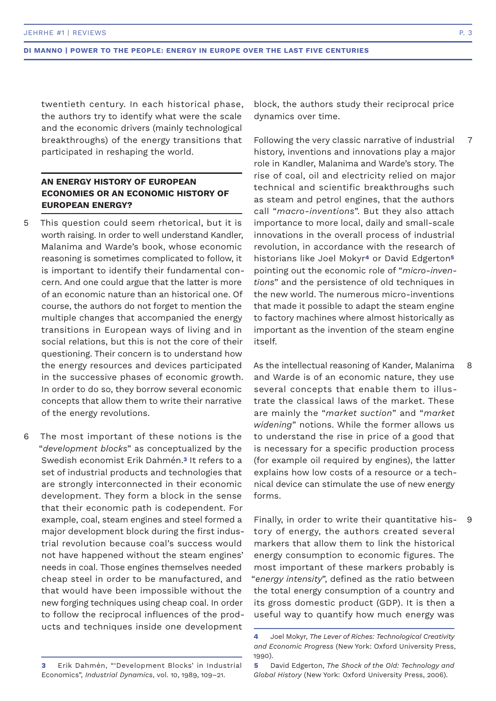twentieth century. In each historical phase, the authors try to identify what were the scale and the economic drivers (mainly technological breakthroughs) of the energy transitions that participated in reshaping the world.

# **AN ENERGY HISTORY OF EUROPEAN ECONOMIES OR AN ECONOMIC HISTORY OF EUROPEAN ENERGY?**

- This question could seem rhetorical, but it is worth raising. In order to well understand Kandler, Malanima and Warde's book, whose economic reasoning is sometimes complicated to follow, it is important to identify their fundamental concern. And one could argue that the latter is more of an economic nature than an historical one. Of course, the authors do not forget to mention the multiple changes that accompanied the energy transitions in European ways of living and in social relations, but this is not the core of their questioning. Their concern is to understand how the energy resources and devices participated in the successive phases of economic growth. In order to do so, they borrow several economic concepts that allow them to write their narrative of the energy revolutions. 5
- The most important of these notions is the "*development blocks*" as conceptualized by the Swedish economist Erik Dahmén.**3** It refers to a set of industrial products and technologies that are strongly interconnected in their economic development. They form a block in the sense that their economic path is codependent. For example, coal, steam engines and steel formed a major development block during the first industrial revolution because coal's success would not have happened without the steam engines' needs in coal. Those engines themselves needed cheap steel in order to be manufactured, and that would have been impossible without the new forging techniques using cheap coal. In order to follow the reciprocal influences of the products and techniques inside one development 6

block, the authors study their reciprocal price dynamics over time.

Following the very classic narrative of industrial history, inventions and innovations play a major role in Kandler, Malanima and Warde's story. The rise of coal, oil and electricity relied on major technical and scientific breakthroughs such as steam and petrol engines, that the authors call "*macro-inventions*". But they also attach importance to more local, daily and small-scale innovations in the overall process of industrial revolution, in accordance with the research of historians like Joel Mokyr**4** or David Edgerton**<sup>5</sup>** pointing out the economic role of "*micro-inventions*" and the persistence of old techniques in the new world. The numerous micro-inventions that made it possible to adapt the steam engine to factory machines where almost historically as important as the invention of the steam engine itself. 7

As the intellectual reasoning of Kander, Malanima and Warde is of an economic nature, they use several concepts that enable them to illustrate the classical laws of the market. These are mainly the "*market suction*" and "*market widening*" notions. While the former allows us to understand the rise in price of a good that is necessary for a specific production process (for example oil required by engines), the latter explains how low costs of a resource or a technical device can stimulate the use of new energy forms. 8

Finally, in order to write their quantitative history of energy, the authors created several markers that allow them to link the historical energy consumption to economic figures. The most important of these markers probably is "*energy intensity*", defined as the ratio between the total energy consumption of a country and its gross domestic product (GDP). It is then a useful way to quantify how much energy was 9

**<sup>4</sup>** Joel Mokyr, *The Lever of Riches: Technological Creativity and Economic Progress* (New York: Oxford University Press, 1990).

**<sup>3</sup>** Erik Dahmén, "'Development Blocks' in Industrial Economics", *Industrial Dynamics*, vol. 10, 1989, 109–21.

**<sup>5</sup>** David Edgerton, *The Shock of the Old: Technology and Global History* (New York: Oxford University Press, 2006).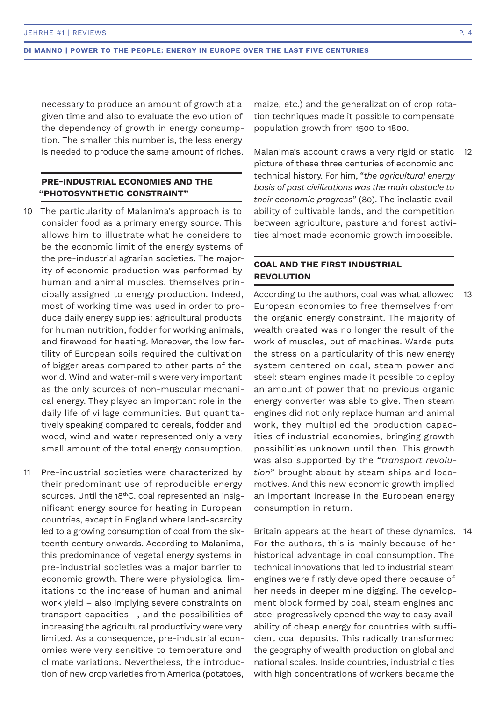necessary to produce an amount of growth at a given time and also to evaluate the evolution of the dependency of growth in energy consumption. The smaller this number is, the less energy is needed to produce the same amount of riches.

## **PRE-INDUSTRIAL ECONOMIES AND THE "PHOTOSYNTHETIC CONSTRAINT"**

- 10 The particularity of Malanima's approach is to consider food as a primary energy source. This allows him to illustrate what he considers to be the economic limit of the energy systems of the pre-industrial agrarian societies. The majority of economic production was performed by human and animal muscles, themselves principally assigned to energy production. Indeed, most of working time was used in order to produce daily energy supplies: agricultural products for human nutrition, fodder for working animals, and firewood for heating. Moreover, the low fertility of European soils required the cultivation of bigger areas compared to other parts of the world. Wind and water-mills were very important as the only sources of non-muscular mechanical energy. They played an important role in the daily life of village communities. But quantitatively speaking compared to cereals, fodder and wood, wind and water represented only a very small amount of the total energy consumption.
- Pre-industrial societies were characterized by their predominant use of reproducible energy sources. Until the 18<sup>th</sup>C. coal represented an insignificant energy source for heating in European countries, except in England where land-scarcity led to a growing consumption of coal from the sixteenth century onwards. According to Malanima, this predominance of vegetal energy systems in pre-industrial societies was a major barrier to economic growth. There were physiological limitations to the increase of human and animal work yield – also implying severe constraints on transport capacities –, and the possibilities of increasing the agricultural productivity were very limited. As a consequence, pre-industrial economies were very sensitive to temperature and climate variations. Nevertheless, the introduction of new crop varieties from America (potatoes, 11

maize, etc.) and the generalization of crop rotation techniques made it possible to compensate population growth from 1500 to 1800.

Malanima's account draws a very rigid or static picture of these three centuries of economic and technical history. For him, "*the agricultural energy basis of past civilizations was the main obstacle to their economic progress*" (80). The inelastic availability of cultivable lands, and the competition between agriculture, pasture and forest activities almost made economic growth impossible. 12

# **COAL AND THE FIRST INDUSTRIAL REVOLUTION**

According to the authors, coal was what allowed European economies to free themselves from the organic energy constraint. The majority of wealth created was no longer the result of the work of muscles, but of machines. Warde puts the stress on a particularity of this new energy system centered on coal, steam power and steel: steam engines made it possible to deploy an amount of power that no previous organic energy converter was able to give. Then steam engines did not only replace human and animal work, they multiplied the production capacities of industrial economies, bringing growth possibilities unknown until then. This growth was also supported by the "*transport revolution*" brought about by steam ships and locomotives. And this new economic growth implied an important increase in the European energy consumption in return. 13

Britain appears at the heart of these dynamics. 14For the authors, this is mainly because of her historical advantage in coal consumption. The technical innovations that led to industrial steam engines were firstly developed there because of her needs in deeper mine digging. The development block formed by coal, steam engines and steel progressively opened the way to easy availability of cheap energy for countries with sufficient coal deposits. This radically transformed the geography of wealth production on global and national scales. Inside countries, industrial cities with high concentrations of workers became the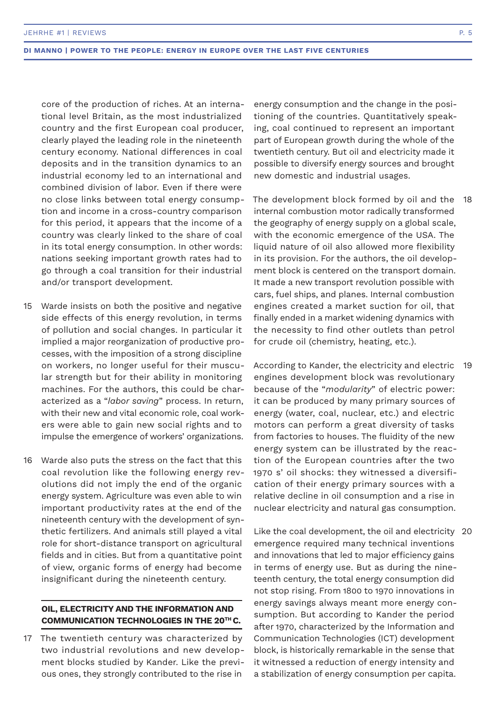core of the production of riches. At an international level Britain, as the most industrialized country and the first European coal producer, clearly played the leading role in the nineteenth century economy. National differences in coal deposits and in the transition dynamics to an industrial economy led to an international and combined division of labor. Even if there were no close links between total energy consumption and income in a cross-country comparison for this period, it appears that the income of a country was clearly linked to the share of coal in its total energy consumption. In other words: nations seeking important growth rates had to go through a coal transition for their industrial and/or transport development.

- Warde insists on both the positive and negative side effects of this energy revolution, in terms of pollution and social changes. In particular it implied a major reorganization of productive processes, with the imposition of a strong discipline on workers, no longer useful for their muscular strength but for their ability in monitoring machines. For the authors, this could be characterized as a "*labor saving*" process. In return, with their new and vital economic role, coal workers were able to gain new social rights and to impulse the emergence of workers' organizations. 15
- Warde also puts the stress on the fact that this coal revolution like the following energy revolutions did not imply the end of the organic energy system. Agriculture was even able to win important productivity rates at the end of the nineteenth century with the development of synthetic fertilizers. And animals still played a vital role for short-distance transport on agricultural fields and in cities. But from a quantitative point of view, organic forms of energy had become insignificant during the nineteenth century. 16

## **OIL, ELECTRICITY AND THE INFORMATION AND COMMUNICATION TECHNOLOGIES IN THE 20TH C.**

17 The twentieth century was characterized by two industrial revolutions and new development blocks studied by Kander. Like the previous ones, they strongly contributed to the rise in

energy consumption and the change in the positioning of the countries. Quantitatively speaking, coal continued to represent an important part of European growth during the whole of the twentieth century. But oil and electricity made it possible to diversify energy sources and brought new domestic and industrial usages.

The development block formed by oil and the 18 internal combustion motor radically transformed the geography of energy supply on a global scale, with the economic emergence of the USA. The liquid nature of oil also allowed more flexibility in its provision. For the authors, the oil development block is centered on the transport domain. It made a new transport revolution possible with cars, fuel ships, and planes. Internal combustion engines created a market suction for oil, that finally ended in a market widening dynamics with the necessity to find other outlets than petrol for crude oil (chemistry, heating, etc.).

According to Kander, the electricity and electric 19 engines development block was revolutionary because of the "*modularity*" of electric power: it can be produced by many primary sources of energy (water, coal, nuclear, etc.) and electric motors can perform a great diversity of tasks from factories to houses. The fluidity of the new energy system can be illustrated by the reaction of the European countries after the two 1970 s' oil shocks: they witnessed a diversification of their energy primary sources with a relative decline in oil consumption and a rise in nuclear electricity and natural gas consumption.

Like the coal development, the oil and electricity 20 emergence required many technical inventions and innovations that led to major efficiency gains in terms of energy use. But as during the nineteenth century, the total energy consumption did not stop rising. From 1800 to 1970 innovations in energy savings always meant more energy consumption. But according to Kander the period after 1970, characterized by the Information and Communication Technologies (ICT) development block, is historically remarkable in the sense that it witnessed a reduction of energy intensity and a stabilization of energy consumption per capita.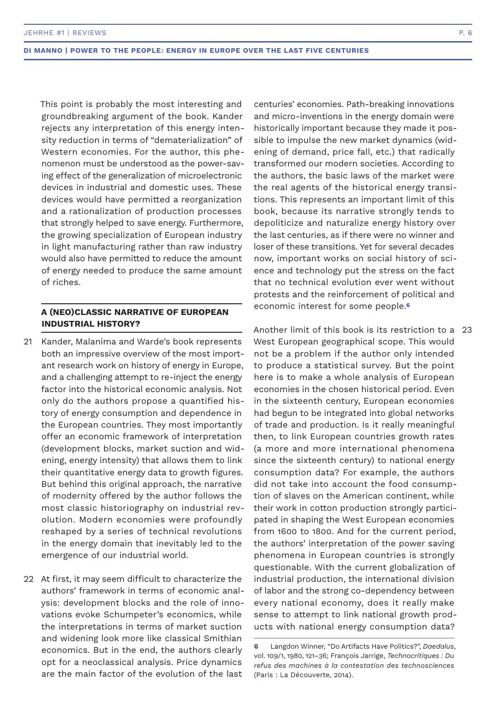This point is probably the most interesting and groundbreaking argument of the book. Kander rejects any interpretation of this energy intensity reduction in terms of "dematerialization" of Western economies. For the author, this phenomenon must be understood as the power-saving effect of the generalization of microelectronic devices in industrial and domestic uses. These devices would have permitted a reorganization and a rationalization of production processes that strongly helped to save energy. Furthermore, the growing specialization of European industry in light manufacturing rather than raw industry would also have permitted to reduce the amount of energy needed to produce the same amount of riches.

## **A (NEO)CLASSIC NARRATIVE OF EUROPEAN INDUSTRIAL HISTORY?**

- 21 Kander, Malanima and Warde's book represents both an impressive overview of the most important research work on history of energy in Europe, and a challenging attempt to re-inject the energy factor into the historical economic analysis. Not only do the authors propose a quantified history of energy consumption and dependence in the European countries. They most importantly offer an economic framework of interpretation (development blocks, market suction and widening, energy intensity) that allows them to link their quantitative energy data to growth figures. But behind this original approach, the narrative of modernity offered by the author follows the most classic historiography on industrial revolution. Modern economies were profoundly reshaped by a series of technical revolutions in the energy domain that inevitably led to the emergence of our industrial world.
- 22 At first, it may seem difficult to characterize the authors' framework in terms of economic analysis: development blocks and the role of innovations evoke Schumpeter's economics, while the interpretations in terms of market suction and widening look more like classical Smithian economics. But in the end, the authors clearly opt for a neoclassical analysis. Price dynamics are the main factor of the evolution of the last

centuries' economies. Path-breaking innovations and micro-inventions in the energy domain were historically important because they made it possible to impulse the new market dynamics (widening of demand, price fall, etc.) that radically transformed our modern societies. According to the authors, the basic laws of the market were the real agents of the historical energy transitions. This represents an important limit of this book, because its narrative strongly tends to depoliticize and naturalize energy history over the last centuries, as if there were no winner and loser of these transitions. Yet for several decades now, important works on social history of science and technology put the stress on the fact that no technical evolution ever went without protests and the reinforcement of political and economic interest for some people.**<sup>6</sup>**

Another limit of this book is its restriction to a 23 West European geographical scope. This would not be a problem if the author only intended to produce a statistical survey. But the point here is to make a whole analysis of European economies in the chosen historical period. Even in the sixteenth century, European economies had begun to be integrated into global networks of trade and production. Is it really meaningful then, to link European countries growth rates (a more and more international phenomena since the sixteenth century) to national energy consumption data? For example, the authors did not take into account the food consumption of slaves on the American continent, while their work in cotton production strongly participated in shaping the West European economies from 1600 to 1800. And for the current period, the authors' interpretation of the power saving phenomena in European countries is strongly questionable. With the current globalization of industrial production, the international division of labor and the strong co-dependency between every national economy, does it really make sense to attempt to link national growth products with national energy consumption data?

**<sup>6</sup>** Langdon Winner, "Do Artifacts Have Politics?", *Daedalus*, vol. 109/1, 1980, 121–36; François Jarrige, *Technocritiques : Du refus des machines à la contestation des technosciences* (Paris : La Découverte, 2014).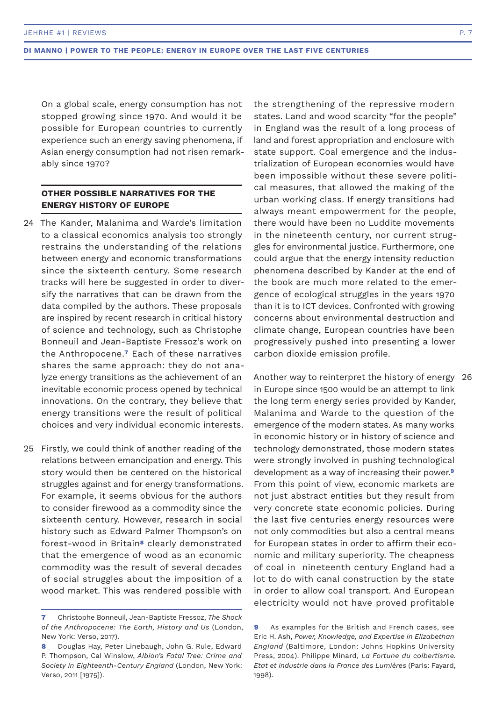On a global scale, energy consumption has not stopped growing since 1970. And would it be possible for European countries to currently experience such an energy saving phenomena, if Asian energy consumption had not risen remarkably since 1970?

## **OTHER POSSIBLE NARRATIVES FOR THE ENERGY HISTORY OF EUROPE**

- The Kander, Malanima and Warde's limitation 24 to a classical economics analysis too strongly restrains the understanding of the relations between energy and economic transformations since the sixteenth century. Some research tracks will here be suggested in order to diversify the narratives that can be drawn from the data compiled by the authors. These proposals are inspired by recent research in critical history of science and technology, such as Christophe Bonneuil and Jean-Baptiste Fressoz's work on the Anthropocene.**7** Each of these narratives shares the same approach: they do not analyze energy transitions as the achievement of an inevitable economic process opened by technical innovations. On the contrary, they believe that energy transitions were the result of political choices and very individual economic interests.
- 25 Firstly, we could think of another reading of the relations between emancipation and energy. This story would then be centered on the historical struggles against and for energy transformations. For example, it seems obvious for the authors to consider firewood as a commodity since the sixteenth century. However, research in social history such as Edward Palmer Thompson's on forest-wood in Britain**8** clearly demonstrated that the emergence of wood as an economic commodity was the result of several decades of social struggles about the imposition of a wood market. This was rendered possible with

the strengthening of the repressive modern states. Land and wood scarcity "for the people" in England was the result of a long process of land and forest appropriation and enclosure with state support. Coal emergence and the industrialization of European economies would have been impossible without these severe political measures, that allowed the making of the urban working class. If energy transitions had always meant empowerment for the people, there would have been no Luddite movements in the nineteenth century, nor current struggles for environmental justice. Furthermore, one could argue that the energy intensity reduction phenomena described by Kander at the end of the book are much more related to the emergence of ecological struggles in the years 1970 than it is to ICT devices. Confronted with growing concerns about environmental destruction and climate change, European countries have been progressively pushed into presenting a lower carbon dioxide emission profile.

Another way to reinterpret the history of energy 26in Europe since 1500 would be an attempt to link the long term energy series provided by Kander, Malanima and Warde to the question of the emergence of the modern states. As many works in economic history or in history of science and technology demonstrated, those modern states were strongly involved in pushing technological development as a way of increasing their power.**<sup>9</sup>** From this point of view, economic markets are not just abstract entities but they result from very concrete state economic policies. During the last five centuries energy resources were not only commodities but also a central means for European states in order to affirm their economic and military superiority. The cheapness of coal in nineteenth century England had a lot to do with canal construction by the state in order to allow coal transport. And European electricity would not have proved profitable

**<sup>7</sup>** Christophe Bonneuil, Jean-Baptiste Fressoz, *The Shock of the Anthropocene: The Earth, History and Us* (London, New York: Verso, 2017).

**<sup>8</sup>** Douglas Hay, Peter Linebaugh, John G. Rule, Edward P. Thompson, Cal Winslow, *Albion's Fatal Tree: Crime and Society in Eighteenth-Century England* (London, New York: Verso, 2011 [1975]).

**<sup>9</sup>** As examples for the British and French cases, see Eric H. Ash, *Power, Knowledge, and Expertise in Elizabethan England* (Baltimore, London: Johns Hopkins University Press, 2004). Philippe Minard, *La Fortune du colbertisme. Etat et industrie dans la France des Lumières* (Paris: Fayard, 1998).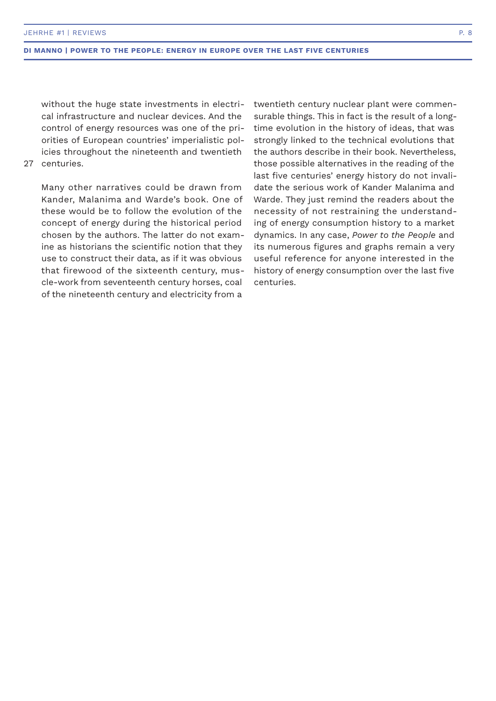without the huge state investments in electrical infrastructure and nuclear devices. And the control of energy resources was one of the priorities of European countries' imperialistic policies throughout the nineteenth and twentieth

## 27 centuries.

Many other narratives could be drawn from Kander, Malanima and Warde's book. One of these would be to follow the evolution of the concept of energy during the historical period chosen by the authors. The latter do not examine as historians the scientific notion that they use to construct their data, as if it was obvious that firewood of the sixteenth century, muscle-work from seventeenth century horses, coal of the nineteenth century and electricity from a

twentieth century nuclear plant were commensurable things. This in fact is the result of a longtime evolution in the history of ideas, that was strongly linked to the technical evolutions that the authors describe in their book. Nevertheless, those possible alternatives in the reading of the last five centuries' energy history do not invalidate the serious work of Kander Malanima and Warde. They just remind the readers about the necessity of not restraining the understanding of energy consumption history to a market dynamics. In any case, *Power to the People* and its numerous figures and graphs remain a very useful reference for anyone interested in the history of energy consumption over the last five centuries.